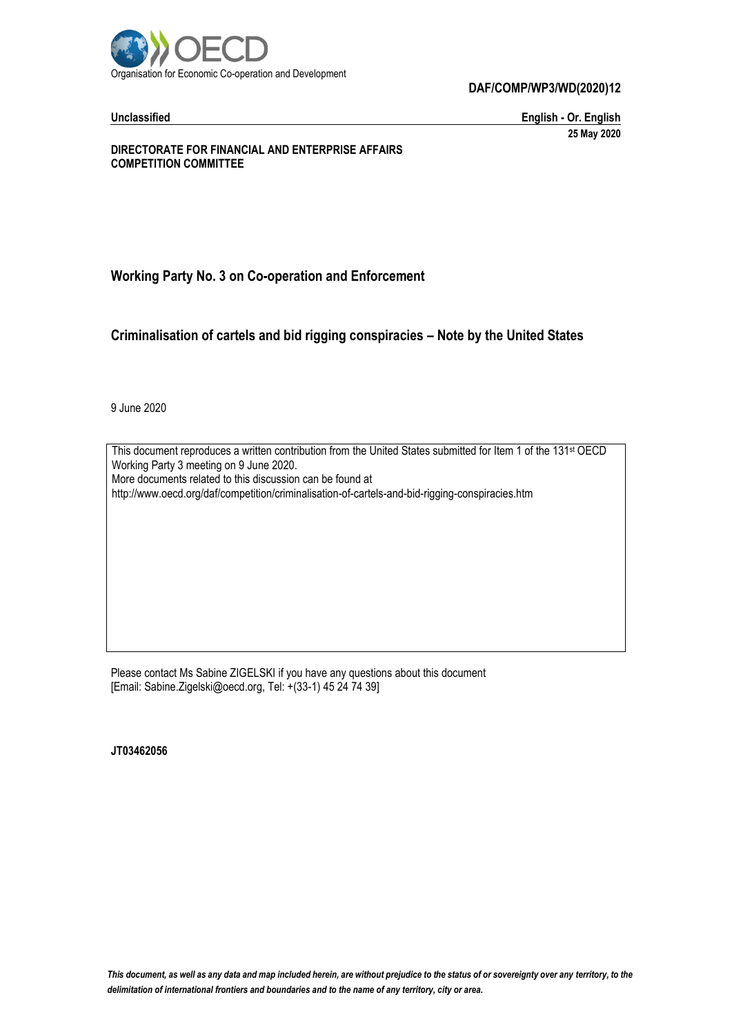

**Unclassified English - Or. English 25 May 2020**

**DIRECTORATE FOR FINANCIAL AND ENTERPRISE AFFAIRS COMPETITION COMMITTEE**

# **Working Party No. 3 on Co-operation and Enforcement**

**Criminalisation of cartels and bid rigging conspiracies – Note by the United States**

9 June 2020

This document reproduces a written contribution from the United States submitted for Item 1 of the 131<sup>st</sup> OECD Working Party 3 meeting on 9 June 2020. More documents related to this discussion can be found at http://www.oecd.org/daf/competition/criminalisation-of-cartels-and-bid-rigging-conspiracies.htm

Please contact Ms Sabine ZIGELSKI if you have any questions about this document [Email: Sabine.Zigelski@oecd.org, Tel: +(33-1) 45 24 74 39]

**JT03462056**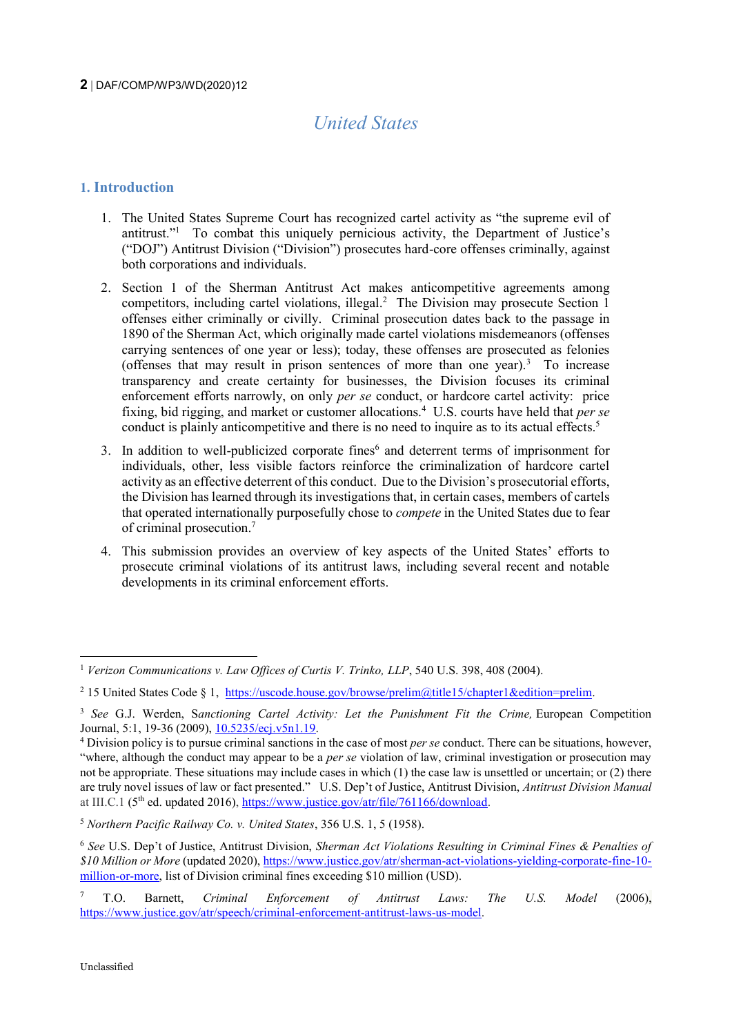# *United States*

# **1. Introduction**

- 1. The United States Supreme Court has recognized cartel activity as "the supreme evil of antitrust."<sup>1</sup> To combat this uniquely pernicious activity, the Department of Justice's ("DOJ") Antitrust Division ("Division") prosecutes hard-core offenses criminally, against both corporations and individuals.
- 2. Section 1 of the Sherman Antitrust Act makes anticompetitive agreements among competitors, including cartel violations, illegal.<sup>2</sup> The Division may prosecute Section 1 offenses either criminally or civilly. Criminal prosecution dates back to the passage in 1890 of the Sherman Act, which originally made cartel violations misdemeanors (offenses carrying sentences of one year or less); today, these offenses are prosecuted as felonies (offenses that may result in prison sentences of more than one year). $3$  To increase transparency and create certainty for businesses, the Division focuses its criminal enforcement efforts narrowly, on only *per se* conduct, or hardcore cartel activity: price fixing, bid rigging, and market or customer allocations.<sup>4</sup> U.S. courts have held that *per se*  conduct is plainly anticompetitive and there is no need to inquire as to its actual effects.<sup>5</sup>
- 3. In addition to well-publicized corporate fines<sup>6</sup> and deterrent terms of imprisonment for individuals, other, less visible factors reinforce the criminalization of hardcore cartel activity as an effective deterrent of this conduct. Due to the Division's prosecutorial efforts, the Division has learned through its investigations that, in certain cases, members of cartels that operated internationally purposefully chose to *compete* in the United States due to fear of criminal prosecution.<sup>7</sup>
- 4. This submission provides an overview of key aspects of the United States' efforts to prosecute criminal violations of its antitrust laws, including several recent and notable developments in its criminal enforcement efforts.

<sup>1</sup> *Verizon Communications v. Law Offices of Curtis V. Trinko, LLP*, 540 U.S. 398, 408 (2004).

<sup>&</sup>lt;sup>2</sup> 15 United States Code § 1, [https://uscode.house.gov/browse/prelim@title15/chapter1&edition=prelim.](https://uscode.house.gov/browse/prelim@title15/chapter1&edition=prelim)

<sup>3</sup> *See* G.J. Werden, S*anctioning Cartel Activity: Let the Punishment Fit the Crime,* European Competition Journal, 5:1, 19-36 (2009), [10.5235/ecj.v5n1.19.](https://doi.org/10.5235/ecj.v5n1.19)

<sup>4</sup> Division policy is to pursue criminal sanctions in the case of most *per se* conduct. There can be situations, however, "where, although the conduct may appear to be a *per se* violation of law, criminal investigation or prosecution may not be appropriate. These situations may include cases in which (1) the case law is unsettled or uncertain; or (2) there are truly novel issues of law or fact presented." U.S. Dep't of Justice, Antitrust Division, *Antitrust Division Manual* at III.C.1 (5<sup>th</sup> ed. updated 2016), [https://www.justice.gov/atr/file/761166/download.](https://www.justice.gov/atr/file/761166/download)

<sup>5</sup> *Northern Pacific Railway Co. v. United States*, 356 U.S. 1, 5 (1958).

<sup>6</sup> *See* U.S. Dep't of Justice, Antitrust Division, *Sherman Act Violations Resulting in Criminal Fines & Penalties of \$10 Million or More* (updated 2020), [https://www.justice.gov/atr/sherman-act-violations-yielding-corporate-fine-10](https://www.justice.gov/atr/sherman-act-violations-yielding-corporate-fine-10-million-or-more) [million-or-more,](https://www.justice.gov/atr/sherman-act-violations-yielding-corporate-fine-10-million-or-more) list of Division criminal fines exceeding \$10 million (USD).

<sup>7</sup> T.O. Barnett, *Criminal Enforcement of Antitrust Laws: The U.S. Model* (2006), [https://www.justice.gov/atr/speech/criminal-enforcement-antitrust-laws-us-model.](https://www.justice.gov/atr/speech/criminal-enforcement-antitrust-laws-us-model)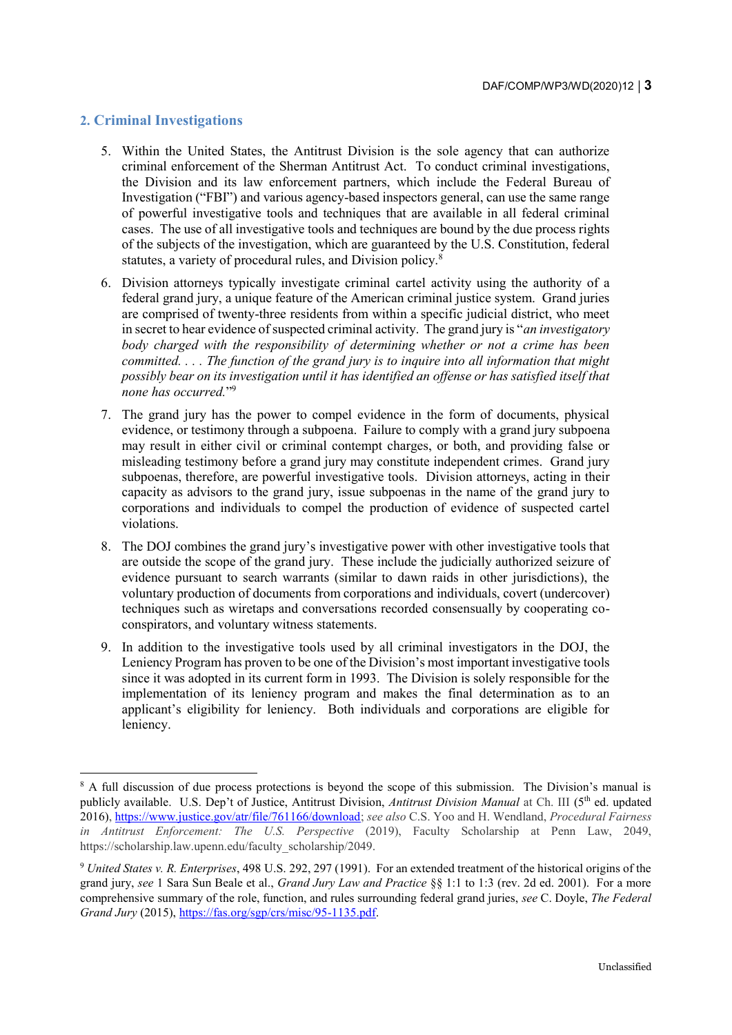# **2. Criminal Investigations**

- 5. Within the United States, the Antitrust Division is the sole agency that can authorize criminal enforcement of the Sherman Antitrust Act. To conduct criminal investigations, the Division and its law enforcement partners, which include the Federal Bureau of Investigation ("FBI") and various agency-based inspectors general, can use the same range of powerful investigative tools and techniques that are available in all federal criminal cases. The use of all investigative tools and techniques are bound by the due process rights of the subjects of the investigation, which are guaranteed by the U.S. Constitution, federal statutes, a variety of procedural rules, and Division policy.<sup>8</sup>
- 6. Division attorneys typically investigate criminal cartel activity using the authority of a federal grand jury, a unique feature of the American criminal justice system. Grand juries are comprised of twenty-three residents from within a specific judicial district, who meet in secret to hear evidence of suspected criminal activity. The grand jury is "*an investigatory body charged with the responsibility of determining whether or not a crime has been committed. . . . The function of the grand jury is to inquire into all information that might possibly bear on its investigation until it has identified an offense or has satisfied itself that none has occurred.*" 9
- 7. The grand jury has the power to compel evidence in the form of documents, physical evidence, or testimony through a subpoena. Failure to comply with a grand jury subpoena may result in either civil or criminal contempt charges, or both, and providing false or misleading testimony before a grand jury may constitute independent crimes. Grand jury subpoenas, therefore, are powerful investigative tools. Division attorneys, acting in their capacity as advisors to the grand jury, issue subpoenas in the name of the grand jury to corporations and individuals to compel the production of evidence of suspected cartel violations.
- 8. The DOJ combines the grand jury's investigative power with other investigative tools that are outside the scope of the grand jury. These include the judicially authorized seizure of evidence pursuant to search warrants (similar to dawn raids in other jurisdictions), the voluntary production of documents from corporations and individuals, covert (undercover) techniques such as wiretaps and conversations recorded consensually by cooperating coconspirators, and voluntary witness statements.
- 9. In addition to the investigative tools used by all criminal investigators in the DOJ, the Leniency Program has proven to be one of the Division's most important investigative tools since it was adopted in its current form in 1993. The Division is solely responsible for the implementation of its leniency program and makes the final determination as to an applicant's eligibility for leniency. Both individuals and corporations are eligible for leniency.

<sup>&</sup>lt;sup>8</sup> A full discussion of due process protections is beyond the scope of this submission. The Division's manual is publicly available. U.S. Dep't of Justice, Antitrust Division, Antitrust Division Manual at Ch. III (5<sup>th</sup> ed. updated 2016)[, https://www.justice.gov/atr/file/761166/download;](https://www.justice.gov/atr/file/761166/download) *see also* C.S. Yoo and H. Wendland, *Procedural Fairness in Antitrust Enforcement: The U.S. Perspective* (2019), Faculty Scholarship at Penn Law, 2049, https://scholarship.law.upenn.edu/faculty\_scholarship/2049.

<sup>9</sup> *United States v. R. Enterprises*, 498 U.S. 292, 297 (1991). For an extended treatment of the historical origins of the grand jury, *see* 1 Sara Sun Beale et al., *Grand Jury Law and Practice* §§ 1:1 to 1:3 (rev. 2d ed. 2001). For a more comprehensive summary of the role, function, and rules surrounding federal grand juries, *see* C. Doyle, *The Federal Grand Jury* (2015)[, https://fas.org/sgp/crs/misc/95-1135.pdf.](https://fas.org/sgp/crs/misc/95-1135.pdf)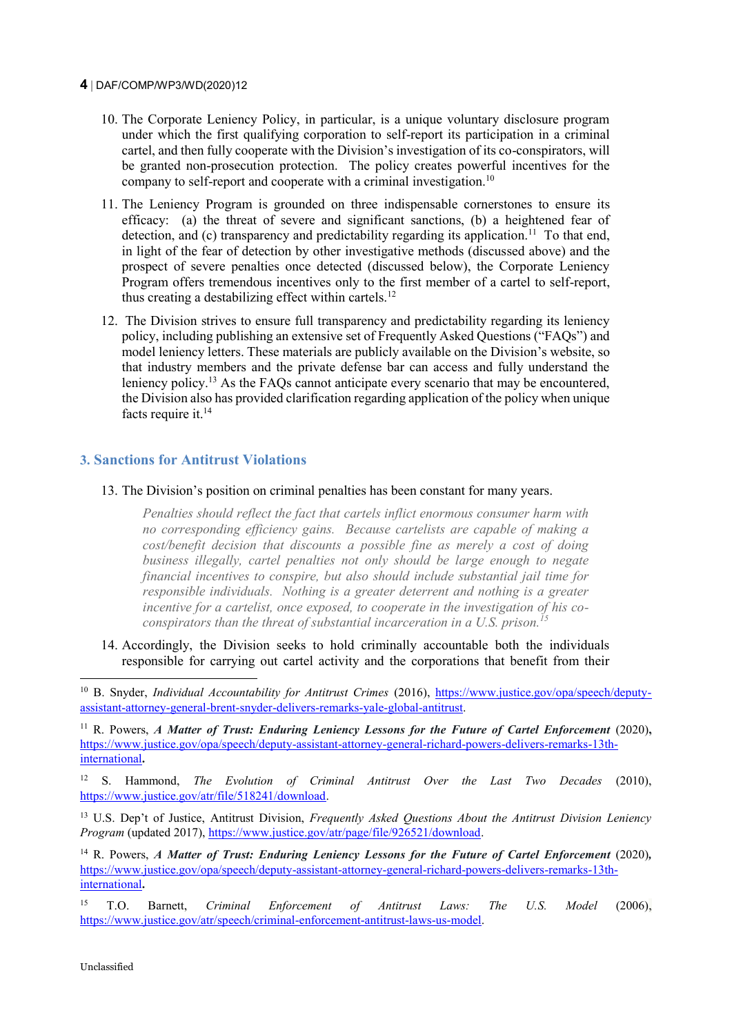- 10. The Corporate Leniency Policy, in particular, is a unique voluntary disclosure program under which the first qualifying corporation to self-report its participation in a criminal cartel, and then fully cooperate with the Division's investigation of its co-conspirators, will be granted non-prosecution protection. The policy creates powerful incentives for the company to self-report and cooperate with a criminal investigation.<sup>10</sup>
- 11. The Leniency Program is grounded on three indispensable cornerstones to ensure its efficacy: (a) the threat of severe and significant sanctions, (b) a heightened fear of detection, and (c) transparency and predictability regarding its application.<sup>11</sup> To that end, in light of the fear of detection by other investigative methods (discussed above) and the prospect of severe penalties once detected (discussed below), the Corporate Leniency Program offers tremendous incentives only to the first member of a cartel to self-report, thus creating a destabilizing effect within cartels.<sup>12</sup>
- 12. The Division strives to ensure full transparency and predictability regarding its leniency policy, including publishing an extensive set of Frequently Asked Questions ("FAQs") and model leniency letters. These materials are publicly available on the Division's website, so that industry members and the private defense bar can access and fully understand the leniency policy.<sup>13</sup> As the FAQs cannot anticipate every scenario that may be encountered, the Division also has provided clarification regarding application of the policy when unique facts require it.<sup>14</sup>

#### **3. Sanctions for Antitrust Violations**

13. The Division's position on criminal penalties has been constant for many years.

*Penalties should reflect the fact that cartels inflict enormous consumer harm with no corresponding efficiency gains. Because cartelists are capable of making a cost/benefit decision that discounts a possible fine as merely a cost of doing business illegally, cartel penalties not only should be large enough to negate financial incentives to conspire, but also should include substantial jail time for responsible individuals. Nothing is a greater deterrent and nothing is a greater incentive for a cartelist, once exposed, to cooperate in the investigation of his coconspirators than the threat of substantial incarceration in a U.S. prison.<sup>15</sup>*

14. Accordingly, the Division seeks to hold criminally accountable both the individuals responsible for carrying out cartel activity and the corporations that benefit from their

<sup>&</sup>lt;sup>10</sup> B. Snyder, *Individual Accountability for Antitrust Crimes* (2016), [https://www.justice.gov/opa/speech/deputy](https://www.justice.gov/opa/speech/deputy-assistant-attorney-general-brent-snyder-delivers-remarks-yale-global-antitrust)[assistant-attorney-general-brent-snyder-delivers-remarks-yale-global-antitrust.](https://www.justice.gov/opa/speech/deputy-assistant-attorney-general-brent-snyder-delivers-remarks-yale-global-antitrust)

<sup>&</sup>lt;sup>11</sup> R. Powers, *A Matter of Trust: Enduring Leniency Lessons for the Future of Cartel Enforcement (2020),* [https://www.justice.gov/opa/speech/deputy-assistant-attorney-general-richard-powers-delivers-remarks-13th](https://www.justice.gov/opa/speech/deputy-assistant-attorney-general-richard-powers-delivers-remarks-13th-international)[international](https://www.justice.gov/opa/speech/deputy-assistant-attorney-general-richard-powers-delivers-remarks-13th-international)**.**

<sup>12</sup> S. Hammond, *The Evolution of Criminal Antitrust Over the Last Two Decades* (2010), [https://www.justice.gov/atr/file/518241/download.](https://www.justice.gov/atr/file/518241/download)

<sup>13</sup> U.S. Dep't of Justice, Antitrust Division, *Frequently Asked Questions About the Antitrust Division Leniency Program* (updated 2017)[, https://www.justice.gov/atr/page/file/926521/download.](https://www.justice.gov/atr/page/file/926521/download) 

<sup>&</sup>lt;sup>14</sup> R. Powers, *A Matter of Trust: Enduring Leniency Lessons for the Future of Cartel Enforcement (2020),* [https://www.justice.gov/opa/speech/deputy-assistant-attorney-general-richard-powers-delivers-remarks-13th](https://www.justice.gov/opa/speech/deputy-assistant-attorney-general-richard-powers-delivers-remarks-13th-international)[international](https://www.justice.gov/opa/speech/deputy-assistant-attorney-general-richard-powers-delivers-remarks-13th-international)**.**

<sup>15</sup> T.O. Barnett, *Criminal Enforcement of Antitrust Laws: The U.S. Model* (2006), [https://www.justice.gov/atr/speech/criminal-enforcement-antitrust-laws-us-model.](https://www.justice.gov/atr/speech/criminal-enforcement-antitrust-laws-us-model)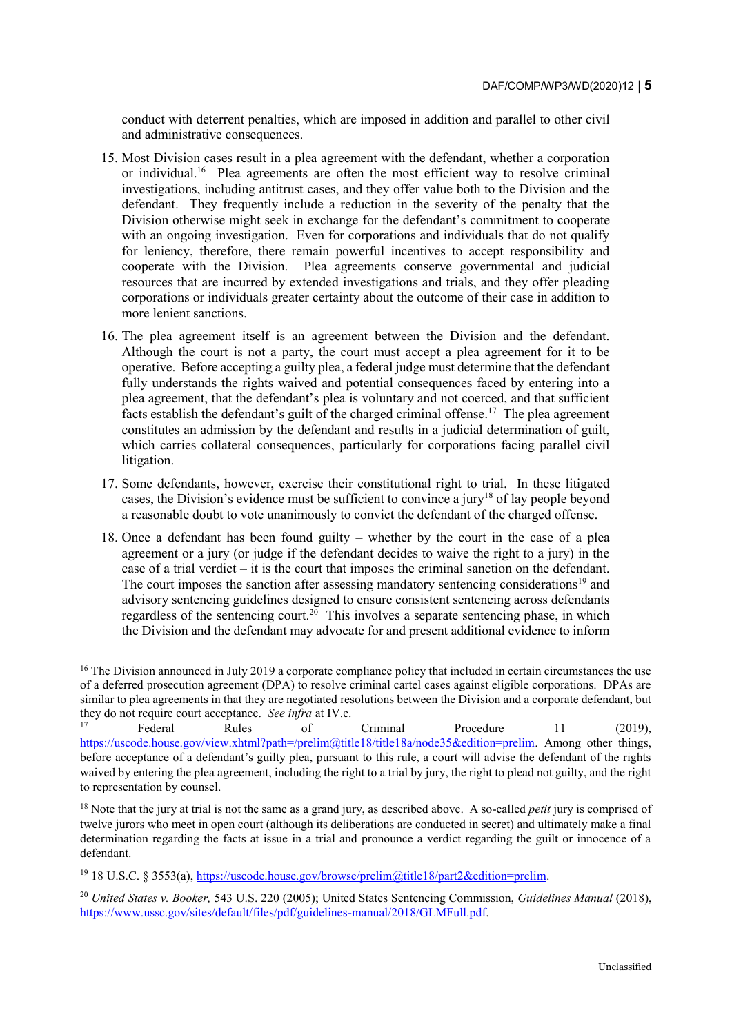conduct with deterrent penalties, which are imposed in addition and parallel to other civil and administrative consequences.

- 15. Most Division cases result in a plea agreement with the defendant, whether a corporation or individual.<sup>16</sup> Plea agreements are often the most efficient way to resolve criminal investigations, including antitrust cases, and they offer value both to the Division and the defendant. They frequently include a reduction in the severity of the penalty that the Division otherwise might seek in exchange for the defendant's commitment to cooperate with an ongoing investigation. Even for corporations and individuals that do not qualify for leniency, therefore, there remain powerful incentives to accept responsibility and cooperate with the Division. Plea agreements conserve governmental and judicial resources that are incurred by extended investigations and trials, and they offer pleading corporations or individuals greater certainty about the outcome of their case in addition to more lenient sanctions.
- 16. The plea agreement itself is an agreement between the Division and the defendant. Although the court is not a party, the court must accept a plea agreement for it to be operative. Before accepting a guilty plea, a federal judge must determine that the defendant fully understands the rights waived and potential consequences faced by entering into a plea agreement, that the defendant's plea is voluntary and not coerced, and that sufficient facts establish the defendant's guilt of the charged criminal offense.<sup>17</sup> The plea agreement constitutes an admission by the defendant and results in a judicial determination of guilt, which carries collateral consequences, particularly for corporations facing parallel civil litigation.
- 17. Some defendants, however, exercise their constitutional right to trial. In these litigated cases, the Division's evidence must be sufficient to convince a jury<sup>18</sup> of lay people beyond a reasonable doubt to vote unanimously to convict the defendant of the charged offense.
- 18. Once a defendant has been found guilty whether by the court in the case of a plea agreement or a jury (or judge if the defendant decides to waive the right to a jury) in the case of a trial verdict – it is the court that imposes the criminal sanction on the defendant. The court imposes the sanction after assessing mandatory sentencing considerations<sup>19</sup> and advisory sentencing guidelines designed to ensure consistent sentencing across defendants regardless of the sentencing court.<sup>20</sup> This involves a separate sentencing phase, in which the Division and the defendant may advocate for and present additional evidence to inform

l

<sup>&</sup>lt;sup>16</sup> The Division announced in July 2019 a corporate compliance policy that included in certain circumstances the use of a deferred prosecution agreement (DPA) to resolve criminal cartel cases against eligible corporations. DPAs are similar to plea agreements in that they are negotiated resolutions between the Division and a corporate defendant, but they do not require court acceptance. *See infra* at IV.e.

<sup>&</sup>lt;sup>17</sup> Federal Rules of Criminal Procedure 11 (2019), [https://uscode.house.gov/view.xhtml?path=/prelim@title18/title18a/node35&edition=prelim.](https://uscode.house.gov/view.xhtml?path=/prelim@title18/title18a/node35&edition=prelim) Among other things, before acceptance of a defendant's guilty plea, pursuant to this rule, a court will advise the defendant of the rights waived by entering the plea agreement, including the right to a trial by jury, the right to plead not guilty, and the right to representation by counsel.

<sup>&</sup>lt;sup>18</sup> Note that the jury at trial is not the same as a grand jury, as described above. A so-called *petit* jury is comprised of twelve jurors who meet in open court (although its deliberations are conducted in secret) and ultimately make a final determination regarding the facts at issue in a trial and pronounce a verdict regarding the guilt or innocence of a defendant.

<sup>19</sup> 18 U.S.C. § 3553(a), [https://uscode.house.gov/browse/prelim@title18/part2&edition=prelim.](https://uscode.house.gov/browse/prelim@title18/part2&edition=prelim)

<sup>20</sup> *United States v. Booker,* 543 U.S. 220 (2005); United States Sentencing Commission, *Guidelines Manual* (2018), [https://www.ussc.gov/sites/default/files/pdf/guidelines-manual/2018/GLMFull.pdf.](https://www.ussc.gov/sites/default/files/pdf/guidelines-manual/2018/GLMFull.pdf)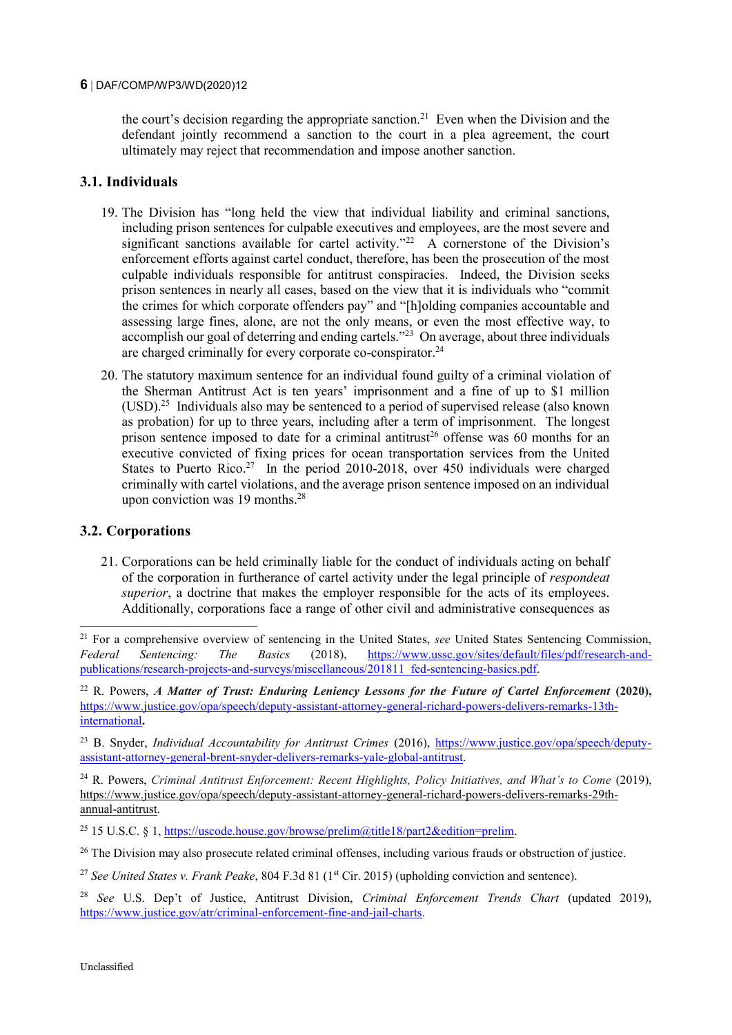the court's decision regarding the appropriate sanction.<sup>21</sup> Even when the Division and the defendant jointly recommend a sanction to the court in a plea agreement, the court ultimately may reject that recommendation and impose another sanction.

# **3.1. Individuals**

- 19. The Division has "long held the view that individual liability and criminal sanctions, including prison sentences for culpable executives and employees, are the most severe and significant sanctions available for cartel activity."<sup>22</sup> A cornerstone of the Division's enforcement efforts against cartel conduct, therefore, has been the prosecution of the most culpable individuals responsible for antitrust conspiracies. Indeed, the Division seeks prison sentences in nearly all cases, based on the view that it is individuals who "commit the crimes for which corporate offenders pay" and "[h]olding companies accountable and assessing large fines, alone, are not the only means, or even the most effective way, to accomplish our goal of deterring and ending cartels."<sup>23</sup> On average, about three individuals are charged criminally for every corporate co-conspirator. $24$
- 20. The statutory maximum sentence for an individual found guilty of a criminal violation of the Sherman Antitrust Act is ten years' imprisonment and a fine of up to \$1 million (USD).<sup>25</sup> Individuals also may be sentenced to a period of supervised release (also known as probation) for up to three years, including after a term of imprisonment. The longest prison sentence imposed to date for a criminal antitrust<sup>26</sup> offense was 60 months for an executive convicted of fixing prices for ocean transportation services from the United States to Puerto Rico.<sup>27</sup> In the period 2010-2018, over 450 individuals were charged criminally with cartel violations, and the average prison sentence imposed on an individual upon conviction was 19 months.<sup>28</sup>

# **3.2. Corporations**

-

21. Corporations can be held criminally liable for the conduct of individuals acting on behalf of the corporation in furtherance of cartel activity under the legal principle of *respondeat superior*, a doctrine that makes the employer responsible for the acts of its employees. Additionally, corporations face a range of other civil and administrative consequences as

<sup>24</sup> R. Powers, *Criminal Antitrust Enforcement: Recent Highlights, Policy Initiatives, and What's to Come (2019)*, [https://www.justice.gov/opa/speech/deputy-assistant-attorney-general-richard-powers-delivers-remarks-29th](https://www.justice.gov/opa/speech/deputy-assistant-attorney-general-richard-powers-delivers-remarks-29th-annual-antitrust)[annual-antitrust.](https://www.justice.gov/opa/speech/deputy-assistant-attorney-general-richard-powers-delivers-remarks-29th-annual-antitrust)

<sup>25</sup> 15 U.S.C. § 1, https://uscode.house.gov/browse/prelim@title18/part2&edition=prelim.

<sup>26</sup> The Division may also prosecute related criminal offenses, including various frauds or obstruction of justice.

<sup>&</sup>lt;sup>21</sup> For a comprehensive overview of sentencing in the United States, *see* United States Sentencing Commission, *Federal* Sentencing The Basics (2018). https://www.ussc.gov/sites/default/files/pdf/research-and-*Federal Sentencing: The Basics* (2018), [https://www.ussc.gov/sites/default/files/pdf/research-and](https://www.ussc.gov/sites/default/files/pdf/research-and-publications/research-projects-and-surveys/miscellaneous/201811_fed-sentencing-basics.pdf)[publications/research-projects-and-surveys/miscellaneous/201811\\_fed-sentencing-basics.pdf.](https://www.ussc.gov/sites/default/files/pdf/research-and-publications/research-projects-and-surveys/miscellaneous/201811_fed-sentencing-basics.pdf)

<sup>&</sup>lt;sup>22</sup> R. Powers, *A Matter of Trust: Enduring Leniency Lessons for the Future of Cartel Enforcement (2020),* [https://www.justice.gov/opa/speech/deputy-assistant-attorney-general-richard-powers-delivers-remarks-13th](https://www.justice.gov/opa/speech/deputy-assistant-attorney-general-richard-powers-delivers-remarks-13th-international)[international](https://www.justice.gov/opa/speech/deputy-assistant-attorney-general-richard-powers-delivers-remarks-13th-international)**.** 

<sup>&</sup>lt;sup>23</sup> B. Snyder, *Individual Accountability for Antitrust Crimes* (2016), [https://www.justice.gov/opa/speech/deputy](https://www.justice.gov/opa/speech/deputy-assistant-attorney-general-brent-snyder-delivers-remarks-yale-global-antitrust)[assistant-attorney-general-brent-snyder-delivers-remarks-yale-global-antitrust.](https://www.justice.gov/opa/speech/deputy-assistant-attorney-general-brent-snyder-delivers-remarks-yale-global-antitrust)

<sup>&</sup>lt;sup>27</sup> See United States v. Frank Peake, 804 F.3d 81 (1<sup>st</sup> Cir. 2015) (upholding conviction and sentence).

<sup>28</sup> *See* U.S. Dep't of Justice, Antitrust Division, *Criminal Enforcement Trends Chart* (updated 2019), [https://www.justice.gov/atr/criminal-enforcement-fine-and-jail-charts.](https://www.justice.gov/atr/criminal-enforcement-fine-and-jail-charts)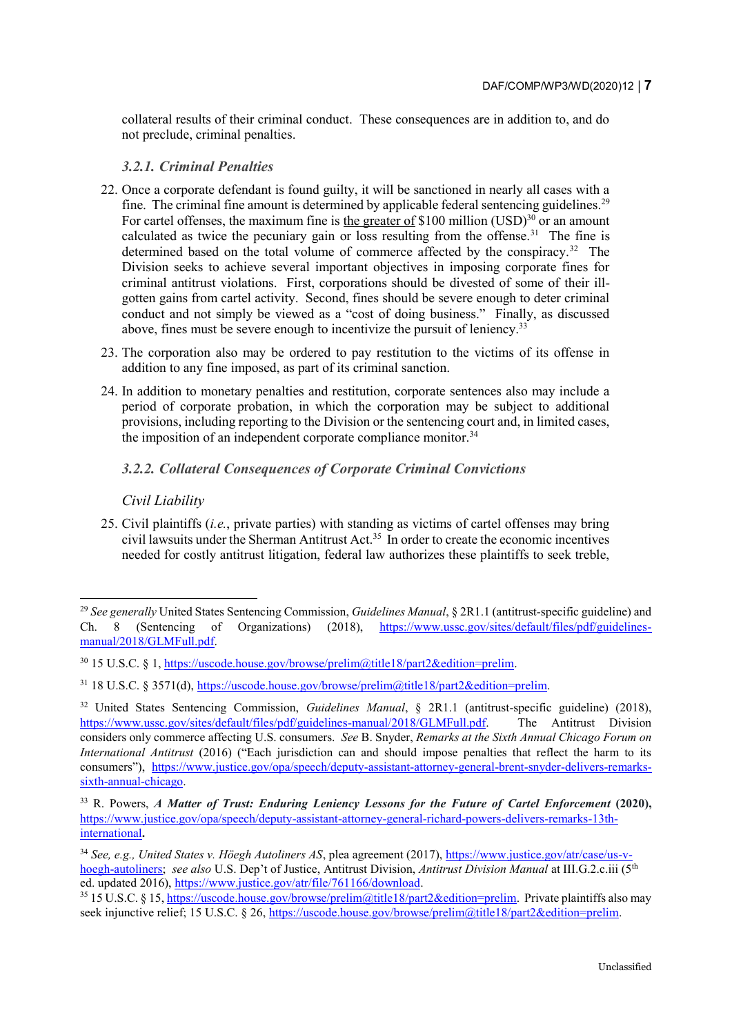collateral results of their criminal conduct. These consequences are in addition to, and do not preclude, criminal penalties.

#### *3.2.1. Criminal Penalties*

- 22. Once a corporate defendant is found guilty, it will be sanctioned in nearly all cases with a fine. The criminal fine amount is determined by applicable federal sentencing guidelines.<sup>29</sup> For cartel offenses, the maximum fine is the greater of \$100 million  $(USD)^{30}$  or an amount calculated as twice the pecuniary gain or loss resulting from the offense.<sup>31</sup> The fine is determined based on the total volume of commerce affected by the conspiracy.<sup>32</sup> The Division seeks to achieve several important objectives in imposing corporate fines for criminal antitrust violations. First, corporations should be divested of some of their illgotten gains from cartel activity. Second, fines should be severe enough to deter criminal conduct and not simply be viewed as a "cost of doing business." Finally, as discussed above, fines must be severe enough to incentivize the pursuit of leniency.<sup>33</sup>
- 23. The corporation also may be ordered to pay restitution to the victims of its offense in addition to any fine imposed, as part of its criminal sanction.
- 24. In addition to monetary penalties and restitution, corporate sentences also may include a period of corporate probation, in which the corporation may be subject to additional provisions, including reporting to the Division or the sentencing court and, in limited cases, the imposition of an independent corporate compliance monitor.<sup>34</sup>

# *3.2.2. Collateral Consequences of Corporate Criminal Convictions*

*Civil Liability*

-

25. Civil plaintiffs (*i.e.*, private parties) with standing as victims of cartel offenses may bring civil lawsuits under the Sherman Antitrust Act.<sup>35</sup> In order to create the economic incentives needed for costly antitrust litigation, federal law authorizes these plaintiffs to seek treble,

<sup>29</sup> *See generally* United States Sentencing Commission, *Guidelines Manual*, § 2R1.1 (antitrust-specific guideline) and Ch. 8 (Sentencing of Organizations) (2018), [https://www.ussc.gov/sites/default/files/pdf/guidelines](https://www.ussc.gov/sites/default/files/pdf/guidelines-manual/2018/GLMFull.pdf)[manual/2018/GLMFull.pdf.](https://www.ussc.gov/sites/default/files/pdf/guidelines-manual/2018/GLMFull.pdf)

<sup>30</sup> 15 U.S.C. § 1[, https://uscode.house.gov/browse/prelim@title18/part2&edition=prelim.](https://uscode.house.gov/browse/prelim@title18/part2&edition=prelim) 

<sup>31</sup> 18 U.S.C. § 3571(d), [https://uscode.house.gov/browse/prelim@title18/part2&edition=prelim.](https://uscode.house.gov/browse/prelim@title18/part2&edition=prelim)

<sup>32</sup> United States Sentencing Commission, *Guidelines Manual*, § 2R1.1 (antitrust-specific guideline) (2018), [https://www.ussc.gov/sites/default/files/pdf/guidelines-manual/2018/GLMFull.pdf.](https://www.ussc.gov/sites/default/files/pdf/guidelines-manual/2018/GLMFull.pdf) The Antitrust Division considers only commerce affecting U.S. consumers. *See* B. Snyder, *Remarks at the Sixth Annual Chicago Forum on International Antitrust* (2016) ("Each jurisdiction can and should impose penalties that reflect the harm to its consumers"), [https://www.justice.gov/opa/speech/deputy-assistant-attorney-general-brent-snyder-delivers-remarks](https://www.justice.gov/opa/speech/deputy-assistant-attorney-general-brent-snyder-delivers-remarks-sixth-annual-chicago)[sixth-annual-chicago.](https://www.justice.gov/opa/speech/deputy-assistant-attorney-general-brent-snyder-delivers-remarks-sixth-annual-chicago)

<sup>33</sup> R. Powers, *A Matter of Trust: Enduring Leniency Lessons for the Future of Cartel Enforcement* **(2020),**  [https://www.justice.gov/opa/speech/deputy-assistant-attorney-general-richard-powers-delivers-remarks-13th](https://www.justice.gov/opa/speech/deputy-assistant-attorney-general-richard-powers-delivers-remarks-13th-international)[international](https://www.justice.gov/opa/speech/deputy-assistant-attorney-general-richard-powers-delivers-remarks-13th-international)**.**

<sup>34</sup> *See, e.g., United States v. Höegh Autoliners AS*, plea agreement (2017), [https://www.justice.gov/atr/case/us-v](https://www.justice.gov/atr/case/us-v-hoegh-autoliners)[hoegh-autoliners;](https://www.justice.gov/atr/case/us-v-hoegh-autoliners) *see also* U.S. Dep't of Justice, Antitrust Division, *Antitrust Division Manual* at III.G.2.c.iii (5th ed. updated 2016), [https://www.justice.gov/atr/file/761166/download.](https://www.justice.gov/atr/file/761166/download)

<sup>&</sup>lt;sup>35</sup> 15 U.S.C. § 15[, https://uscode.house.gov/browse/prelim@title18/part2&edition=prelim.](https://uscode.house.gov/browse/prelim@title18/part2&edition=prelim) Private plaintiffs also may seek injunctive relief; 15 U.S.C. § 26, [https://uscode.house.gov/browse/prelim@title18/part2&edition=prelim.](https://uscode.house.gov/browse/prelim@title18/part2&edition=prelim)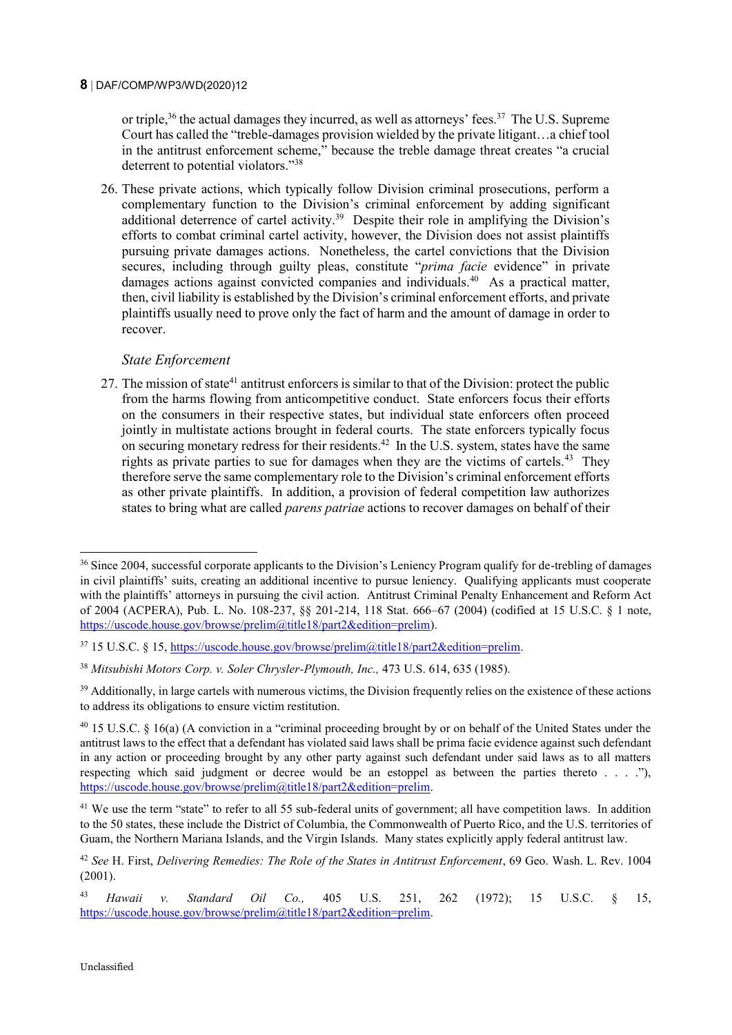or triple,<sup>36</sup> the actual damages they incurred, as well as attorneys' fees.<sup>37</sup> The U.S. Supreme Court has called the "treble-damages provision wielded by the private litigant…a chief tool in the antitrust enforcement scheme," because the treble damage threat creates "a crucial deterrent to potential violators."<sup>38</sup>

26. These private actions, which typically follow Division criminal prosecutions, perform a complementary function to the Division's criminal enforcement by adding significant additional deterrence of cartel activity.<sup>39</sup> Despite their role in amplifying the Division's efforts to combat criminal cartel activity, however, the Division does not assist plaintiffs pursuing private damages actions. Nonetheless, the cartel convictions that the Division secures, including through guilty pleas, constitute "*prima facie* evidence" in private damages actions against convicted companies and individuals.<sup>40</sup> As a practical matter, then, civil liability is established by the Division's criminal enforcement efforts, and private plaintiffs usually need to prove only the fact of harm and the amount of damage in order to recover.

# *State Enforcement*

27. The mission of state<sup>41</sup> antitrust enforcers is similar to that of the Division: protect the public from the harms flowing from anticompetitive conduct. State enforcers focus their efforts on the consumers in their respective states, but individual state enforcers often proceed jointly in multistate actions brought in federal courts. The state enforcers typically focus on securing monetary redress for their residents.<sup>42</sup> In the U.S. system, states have the same rights as private parties to sue for damages when they are the victims of cartels.<sup>43</sup> They therefore serve the same complementary role to the Division's criminal enforcement efforts as other private plaintiffs. In addition, a provision of federal competition law authorizes states to bring what are called *parens patriae* actions to recover damages on behalf of their

<sup>&</sup>lt;sup>36</sup> Since 2004, successful corporate applicants to the Division's Leniency Program qualify for de-trebling of damages in civil plaintiffs' suits, creating an additional incentive to pursue leniency. Qualifying applicants must cooperate with the plaintiffs' attorneys in pursuing the civil action. Antitrust Criminal Penalty Enhancement and Reform Act of 2004 (ACPERA), Pub. L. No. 108-237, §§ 201-214, 118 Stat. 666–67 (2004) (codified at 15 U.S.C. § 1 note, [https://uscode.house.gov/browse/prelim@title18/part2&edition=prelim\)](https://uscode.house.gov/browse/prelim@title18/part2&edition=prelim).

<sup>37</sup> 15 U.S.C. § 15[, https://uscode.house.gov/browse/prelim@title18/part2&edition=prelim.](https://uscode.house.gov/browse/prelim@title18/part2&edition=prelim)

<sup>38</sup> *Mitsubishi Motors Corp. v. Soler Chrysler-Plymouth, Inc.,* 473 U.S. 614, 635 (1985).

<sup>&</sup>lt;sup>39</sup> Additionally, in large cartels with numerous victims, the Division frequently relies on the existence of these actions to address its obligations to ensure victim restitution.

<sup>40</sup> 15 U.S.C. § 16(a) (A conviction in a "criminal proceeding brought by or on behalf of the United States under the antitrust laws to the effect that a defendant has violated said laws shall be prima facie evidence against such defendant in any action or proceeding brought by any other party against such defendant under said laws as to all matters respecting which said judgment or decree would be an estoppel as between the parties thereto . . . ."), [https://uscode.house.gov/browse/prelim@title18/part2&edition=prelim.](https://uscode.house.gov/browse/prelim@title18/part2&edition=prelim)

<sup>&</sup>lt;sup>41</sup> We use the term "state" to refer to all 55 sub-federal units of government; all have competition laws. In addition to the 50 states, these include the District of Columbia, the Commonwealth of Puerto Rico, and the U.S. territories of Guam, the Northern Mariana Islands, and the Virgin Islands. Many states explicitly apply federal antitrust law.

<sup>42</sup> *See* H. First, *Delivering Remedies: The Role of the States in Antitrust Enforcement*, 69 Geo. Wash. L. Rev. 1004 (2001).

<sup>43</sup> *Hawaii v. Standard Oil Co.,* 405 U.S. 251, 262 (1972); 15 U.S.C. § 15, [https://uscode.house.gov/browse/prelim@title18/part2&edition=prelim.](https://uscode.house.gov/browse/prelim@title18/part2&edition=prelim)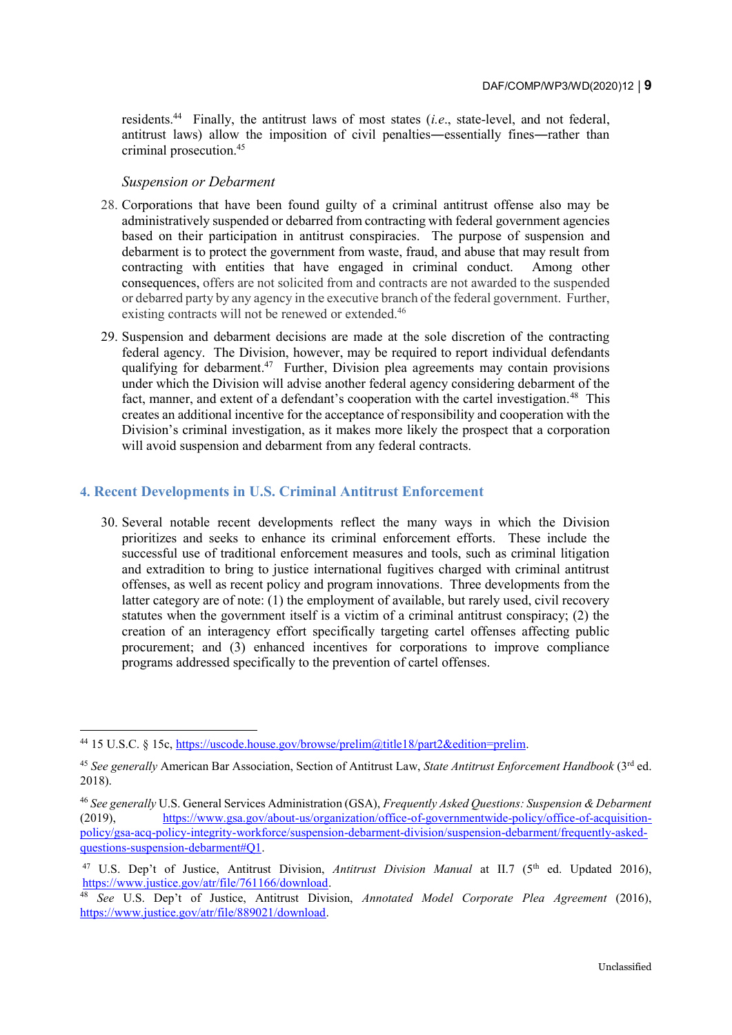residents.<sup>44</sup> Finally, the antitrust laws of most states (*i.e.*, state-level, and not federal, antitrust laws) allow the imposition of civil penalties―essentially fines―rather than criminal prosecution.<sup>45</sup>

#### *Suspension or Debarment*

- 28. Corporations that have been found guilty of a criminal antitrust offense also may be administratively suspended or debarred from contracting with federal government agencies based on their participation in antitrust conspiracies. The purpose of suspension and debarment is to protect the government from waste, fraud, and abuse that may result from contracting with entities that have engaged in criminal conduct. Among other consequences, offers are not solicited from and contracts are not awarded to the suspended or debarred party by any agency in the executive branch of the federal government. Further, existing contracts will not be renewed or extended.<sup>46</sup>
- 29. Suspension and debarment decisions are made at the sole discretion of the contracting federal agency. The Division, however, may be required to report individual defendants qualifying for debarment.<sup>47</sup> Further, Division plea agreements may contain provisions under which the Division will advise another federal agency considering debarment of the fact, manner, and extent of a defendant's cooperation with the cartel investigation.<sup>48</sup> This creates an additional incentive for the acceptance of responsibility and cooperation with the Division's criminal investigation, as it makes more likely the prospect that a corporation will avoid suspension and debarment from any federal contracts.

# **4. Recent Developments in U.S. Criminal Antitrust Enforcement**

30. Several notable recent developments reflect the many ways in which the Division prioritizes and seeks to enhance its criminal enforcement efforts. These include the successful use of traditional enforcement measures and tools, such as criminal litigation and extradition to bring to justice international fugitives charged with criminal antitrust offenses, as well as recent policy and program innovations. Three developments from the latter category are of note: (1) the employment of available, but rarely used, civil recovery statutes when the government itself is a victim of a criminal antitrust conspiracy; (2) the creation of an interagency effort specifically targeting cartel offenses affecting public procurement; and (3) enhanced incentives for corporations to improve compliance programs addressed specifically to the prevention of cartel offenses.

<sup>44</sup> 15 U.S.C. § 15c, [https://uscode.house.gov/browse/prelim@title18/part2&edition=prelim.](https://uscode.house.gov/browse/prelim@title18/part2&edition=prelim)

<sup>45</sup> *See generally* American Bar Association, Section of Antitrust Law, *State Antitrust Enforcement Handbook* (3rd ed. 2018).

<sup>46</sup> *See generally* U.S. General Services Administration (GSA), *Frequently Asked Questions: Suspension & Debarment* (2019), [https://www.gsa.gov/about-us/organization/office-of-governmentwide-policy/office-of-acquisition](https://www.gsa.gov/about-us/organization/office-of-governmentwide-policy/office-of-acquisition-policy/gsa-acq-policy-integrity-workforce/suspension-debarment-division/suspension-debarment/frequently-asked-questions-suspension-debarment#Q1)[policy/gsa-acq-policy-integrity-workforce/suspension-debarment-division/suspension-debarment/frequently-asked](https://www.gsa.gov/about-us/organization/office-of-governmentwide-policy/office-of-acquisition-policy/gsa-acq-policy-integrity-workforce/suspension-debarment-division/suspension-debarment/frequently-asked-questions-suspension-debarment#Q1)[questions-suspension-debarment#Q1.](https://www.gsa.gov/about-us/organization/office-of-governmentwide-policy/office-of-acquisition-policy/gsa-acq-policy-integrity-workforce/suspension-debarment-division/suspension-debarment/frequently-asked-questions-suspension-debarment#Q1)

<sup>&</sup>lt;sup>47</sup> U.S. Dep't of Justice, Antitrust Division, *Antitrust Division Manual* at II.7 (5<sup>th</sup> ed. Updated 2016), [https://www.justice.gov/atr/file/761166/download.](https://www.justice.gov/atr/file/761166/download)

<sup>48</sup> *See* U.S. Dep't of Justice, Antitrust Division, *Annotated Model Corporate Plea Agreement* (2016), [https://www.justice.gov/atr/file/889021/download.](https://www.justice.gov/atr/file/889021/download)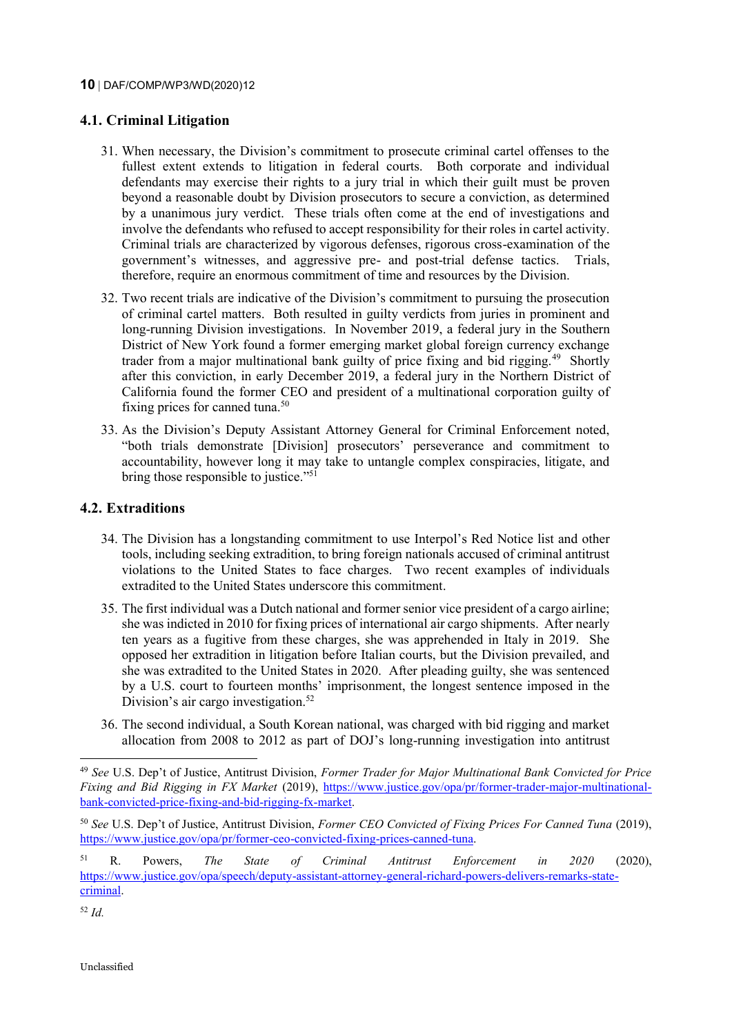# **4.1. Criminal Litigation**

- 31. When necessary, the Division's commitment to prosecute criminal cartel offenses to the fullest extent extends to litigation in federal courts. Both corporate and individual defendants may exercise their rights to a jury trial in which their guilt must be proven beyond a reasonable doubt by Division prosecutors to secure a conviction, as determined by a unanimous jury verdict. These trials often come at the end of investigations and involve the defendants who refused to accept responsibility for their roles in cartel activity. Criminal trials are characterized by vigorous defenses, rigorous cross-examination of the government's witnesses, and aggressive pre- and post-trial defense tactics. Trials, therefore, require an enormous commitment of time and resources by the Division.
- 32. Two recent trials are indicative of the Division's commitment to pursuing the prosecution of criminal cartel matters. Both resulted in guilty verdicts from juries in prominent and long-running Division investigations. In November 2019, a federal jury in the Southern District of New York found a former emerging market global foreign currency exchange trader from a major multinational bank guilty of price fixing and bid rigging.<sup>49</sup> Shortly after this conviction, in early December 2019, a federal jury in the Northern District of California found the former CEO and president of a multinational corporation guilty of fixing prices for canned tuna.<sup>50</sup>
- 33. As the Division's Deputy Assistant Attorney General for Criminal Enforcement noted, "both trials demonstrate [Division] prosecutors' perseverance and commitment to accountability, however long it may take to untangle complex conspiracies, litigate, and bring those responsible to justice."<sup>51</sup>

# **4.2. Extraditions**

- 34. The Division has a longstanding commitment to use Interpol's Red Notice list and other tools, including seeking extradition, to bring foreign nationals accused of criminal antitrust violations to the United States to face charges. Two recent examples of individuals extradited to the United States underscore this commitment.
- 35. The first individual was a Dutch national and former senior vice president of a cargo airline; she was indicted in 2010 for fixing prices of international air cargo shipments. After nearly ten years as a fugitive from these charges, she was apprehended in Italy in 2019. She opposed her extradition in litigation before Italian courts, but the Division prevailed, and she was extradited to the United States in 2020. After pleading guilty, she was sentenced by a U.S. court to fourteen months' imprisonment, the longest sentence imposed in the Division's air cargo investigation.<sup>52</sup>
- 36. The second individual, a South Korean national, was charged with bid rigging and market allocation from 2008 to 2012 as part of DOJ's long-running investigation into antitrust

<sup>52</sup> *Id.*

<sup>49</sup> *See* U.S. Dep't of Justice, Antitrust Division, *Former Trader for Major Multinational Bank Convicted for Price Fixing and Bid Rigging in FX Market* (2019), [https://www.justice.gov/opa/pr/former-trader-major-multinational](https://www.justice.gov/opa/pr/former-trader-major-multinational-bank-convicted-price-fixing-and-bid-rigging-fx-market)[bank-convicted-price-fixing-and-bid-rigging-fx-market.](https://www.justice.gov/opa/pr/former-trader-major-multinational-bank-convicted-price-fixing-and-bid-rigging-fx-market)

<sup>50</sup> *See* U.S. Dep't of Justice, Antitrust Division, *Former CEO Convicted of Fixing Prices For Canned Tuna* (2019), [https://www.justice.gov/opa/pr/former-ceo-convicted-fixing-prices-canned-tuna.](https://www.justice.gov/opa/pr/former-ceo-convicted-fixing-prices-canned-tuna)

<sup>51</sup> R. Powers, *The State of Criminal Antitrust Enforcement in 2020* (2020), [https://www.justice.gov/opa/speech/deputy-assistant-attorney-general-richard-powers-delivers-remarks-state](https://www.justice.gov/opa/speech/deputy-assistant-attorney-general-richard-powers-delivers-remarks-state-criminal)[criminal.](https://www.justice.gov/opa/speech/deputy-assistant-attorney-general-richard-powers-delivers-remarks-state-criminal)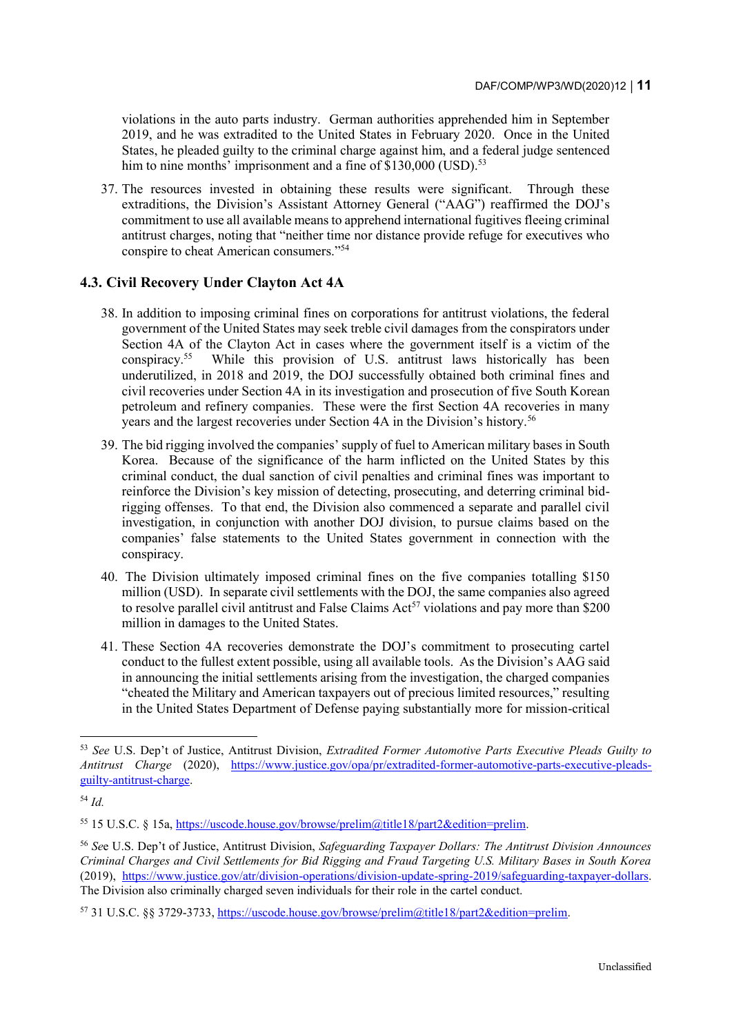violations in the auto parts industry. German authorities apprehended him in September 2019, and he was extradited to the United States in February 2020. Once in the United States, he pleaded guilty to the criminal charge against him, and a federal judge sentenced him to nine months' imprisonment and a fine of  $$130,000$  (USD).<sup>53</sup>

37. The resources invested in obtaining these results were significant. Through these extraditions, the Division's Assistant Attorney General ("AAG") reaffirmed the DOJ's commitment to use all available means to apprehend international fugitives fleeing criminal antitrust charges, noting that "neither time nor distance provide refuge for executives who conspire to cheat American consumers."<sup>54</sup>

# **4.3. Civil Recovery Under Clayton Act 4A**

- 38. In addition to imposing criminal fines on corporations for antitrust violations, the federal government of the United States may seek treble civil damages from the conspirators under Section 4A of the Clayton Act in cases where the government itself is a victim of the conspiracy.<sup>55</sup> While this provision of U.S. antitrust laws historically has been underutilized, in 2018 and 2019, the DOJ successfully obtained both criminal fines and civil recoveries under Section 4A in its investigation and prosecution of five South Korean petroleum and refinery companies. These were the first Section 4A recoveries in many years and the largest recoveries under Section 4A in the Division's history.<sup>56</sup>
- 39. The bid rigging involved the companies' supply of fuel to American military bases in South Korea. Because of the significance of the harm inflicted on the United States by this criminal conduct, the dual sanction of civil penalties and criminal fines was important to reinforce the Division's key mission of detecting, prosecuting, and deterring criminal bidrigging offenses. To that end, the Division also commenced a separate and parallel civil investigation, in conjunction with another DOJ division, to pursue claims based on the companies' false statements to the United States government in connection with the conspiracy.
- 40. The Division ultimately imposed criminal fines on the five companies totalling \$150 million (USD). In separate civil settlements with the DOJ, the same companies also agreed to resolve parallel civil antitrust and False Claims  $Act<sup>57</sup>$  violations and pay more than \$200 million in damages to the United States.
- 41. These Section 4A recoveries demonstrate the DOJ's commitment to prosecuting cartel conduct to the fullest extent possible, using all available tools. As the Division's AAG said in announcing the initial settlements arising from the investigation, the charged companies "cheated the Military and American taxpayers out of precious limited resources," resulting in the United States Department of Defense paying substantially more for mission-critical

<sup>53</sup> *See* U.S. Dep't of Justice, Antitrust Division, *Extradited Former Automotive Parts Executive Pleads Guilty to Antitrust Charge* (2020), [https://www.justice.gov/opa/pr/extradited-former-automotive-parts-executive-pleads](https://www.justice.gov/opa/pr/extradited-former-automotive-parts-executive-pleads-guilty-antitrust-charge)[guilty-antitrust-charge.](https://www.justice.gov/opa/pr/extradited-former-automotive-parts-executive-pleads-guilty-antitrust-charge) 

<sup>54</sup> *Id.*

<sup>55</sup> 15 U.S.C. § 15a, [https://uscode.house.gov/browse/prelim@title18/part2&edition=prelim.](https://uscode.house.gov/browse/prelim@title18/part2&edition=prelim)

<sup>56</sup> *Se*e U.S. Dep't of Justice, Antitrust Division, *Safeguarding Taxpayer Dollars: The Antitrust Division Announces Criminal Charges and Civil Settlements for Bid Rigging and Fraud Targeting U.S. Military Bases in South Korea*  (2019), [https://www.justice.gov/atr/division-operations/division-update-spring-2019/safeguarding-taxpayer-dollars.](https://www.justice.gov/atr/division-operations/division-update-spring-2019/safeguarding-taxpayer-dollars) The Division also criminally charged seven individuals for their role in the cartel conduct.

<sup>57</sup> 31 U.S.C. §§ 3729-3733, [https://uscode.house.gov/browse/prelim@title18/part2&edition=prelim.](https://uscode.house.gov/browse/prelim@title18/part2&edition=prelim)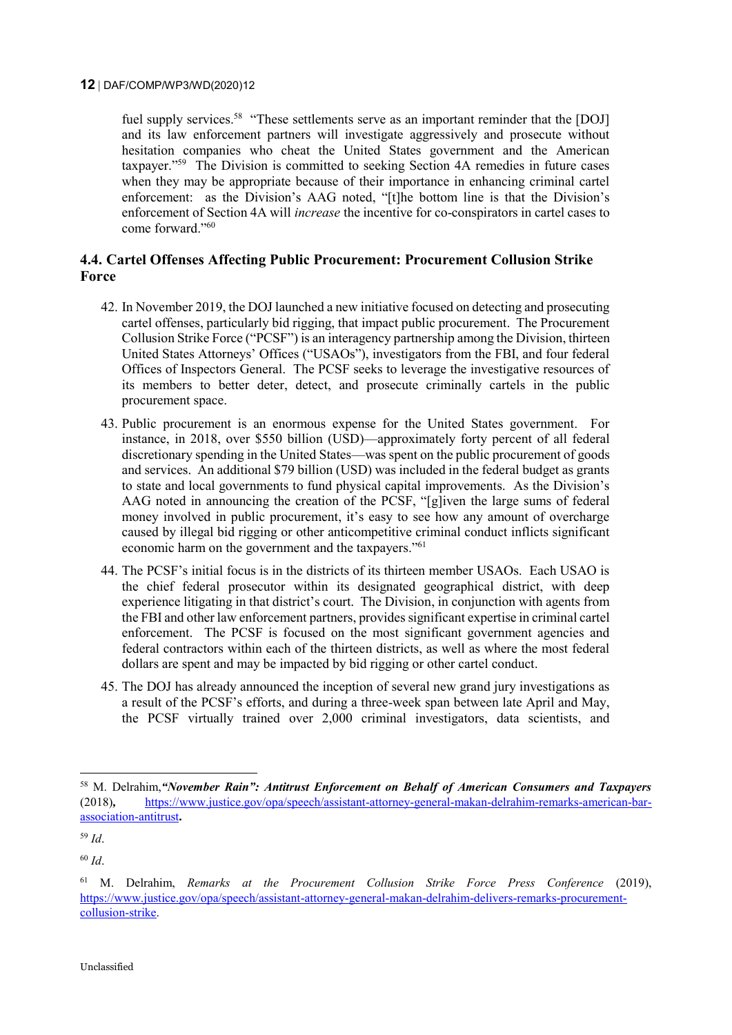fuel supply services.<sup>58</sup> "These settlements serve as an important reminder that the [DOJ] and its law enforcement partners will investigate aggressively and prosecute without hesitation companies who cheat the United States government and the American taxpayer."<sup>59</sup> The Division is committed to seeking Section 4A remedies in future cases when they may be appropriate because of their importance in enhancing criminal cartel enforcement: as the Division's AAG noted, "[t]he bottom line is that the Division's enforcement of Section 4A will *increase* the incentive for co-conspirators in cartel cases to come forward."<sup>60</sup>

# **4.4. Cartel Offenses Affecting Public Procurement: Procurement Collusion Strike Force**

- 42. In November 2019, the DOJ launched a new initiative focused on detecting and prosecuting cartel offenses, particularly bid rigging, that impact public procurement. The Procurement Collusion Strike Force ("PCSF") is an interagency partnership among the Division, thirteen United States Attorneys' Offices ("USAOs"), investigators from the FBI, and four federal Offices of Inspectors General. The PCSF seeks to leverage the investigative resources of its members to better deter, detect, and prosecute criminally cartels in the public procurement space.
- 43. Public procurement is an enormous expense for the United States government. For instance, in 2018, over \$550 billion (USD)—approximately forty percent of all federal discretionary spending in the United States—was spent on the public procurement of goods and services. An additional \$79 billion (USD) was included in the federal budget as grants to state and local governments to fund physical capital improvements. As the Division's AAG noted in announcing the creation of the PCSF, "[g]iven the large sums of federal money involved in public procurement, it's easy to see how any amount of overcharge caused by illegal bid rigging or other anticompetitive criminal conduct inflicts significant economic harm on the government and the taxpayers."<sup>61</sup>
- 44. The PCSF's initial focus is in the districts of its thirteen member USAOs. Each USAO is the chief federal prosecutor within its designated geographical district, with deep experience litigating in that district's court. The Division, in conjunction with agents from the FBI and other law enforcement partners, provides significant expertise in criminal cartel enforcement. The PCSF is focused on the most significant government agencies and federal contractors within each of the thirteen districts, as well as where the most federal dollars are spent and may be impacted by bid rigging or other cartel conduct.
- 45. The DOJ has already announced the inception of several new grand jury investigations as a result of the PCSF's efforts, and during a three-week span between late April and May, the PCSF virtually trained over 2,000 criminal investigators, data scientists, and

<sup>58</sup> M. Delrahim,*"November Rain": Antitrust Enforcement on Behalf of American Consumers and Taxpayers*  (2018)*,* [https://www.justice.gov/opa/speech/assistant-attorney-general-makan-delrahim-remarks-american-bar](https://www.justice.gov/opa/speech/assistant-attorney-general-makan-delrahim-remarks-american-bar-association-antitrust)[association-antitrust](https://www.justice.gov/opa/speech/assistant-attorney-general-makan-delrahim-remarks-american-bar-association-antitrust)**.** 

<sup>59</sup> *Id*.

<sup>60</sup> *Id*.

<sup>61</sup> M. Delrahim, *Remarks at the Procurement Collusion Strike Force Press Conference* (2019), [https://www.justice.gov/opa/speech/assistant-attorney-general-makan-delrahim-delivers-remarks-procurement](https://www.justice.gov/opa/speech/assistant-attorney-general-makan-delrahim-delivers-remarks-procurement-collusion-strike)[collusion-strike.](https://www.justice.gov/opa/speech/assistant-attorney-general-makan-delrahim-delivers-remarks-procurement-collusion-strike)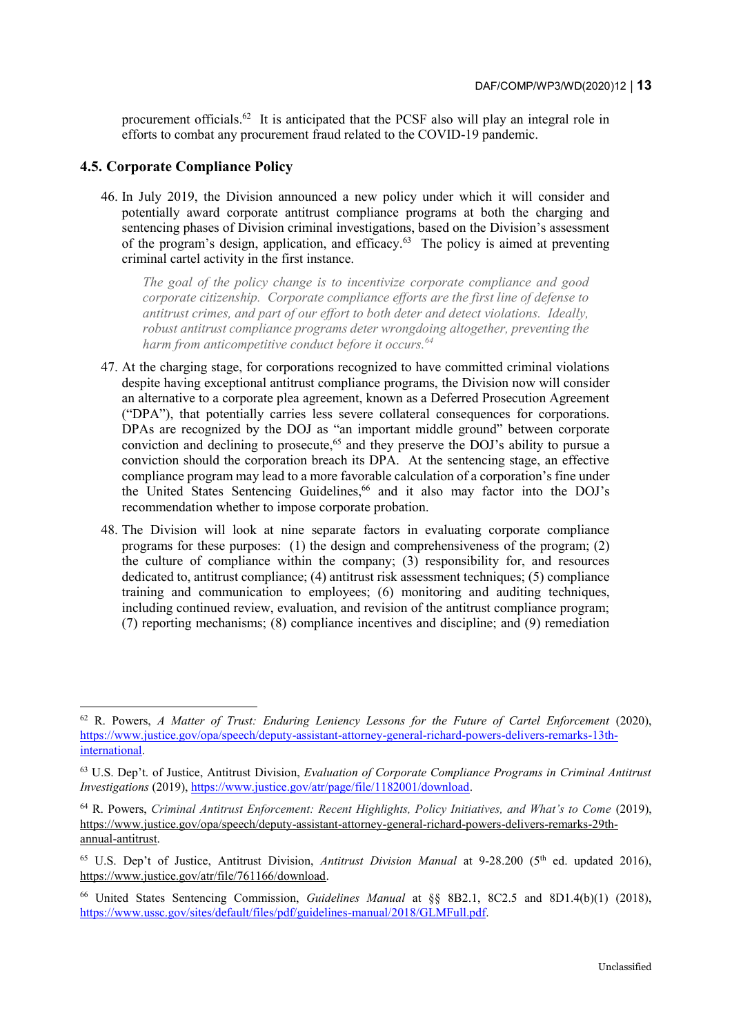procurement officials.<sup>62</sup> It is anticipated that the PCSF also will play an integral role in efforts to combat any procurement fraud related to the COVID-19 pandemic.

#### **4.5. Corporate Compliance Policy**

-

46. In July 2019, the Division announced a new policy under which it will consider and potentially award corporate antitrust compliance programs at both the charging and sentencing phases of Division criminal investigations, based on the Division's assessment of the program's design, application, and efficacy.<sup>63</sup> The policy is aimed at preventing criminal cartel activity in the first instance.

*The goal of the policy change is to incentivize corporate compliance and good corporate citizenship. Corporate compliance efforts are the first line of defense to antitrust crimes, and part of our effort to both deter and detect violations. Ideally, robust antitrust compliance programs deter wrongdoing altogether, preventing the harm from anticompetitive conduct before it occurs.<sup>64</sup>*

- 47. At the charging stage, for corporations recognized to have committed criminal violations despite having exceptional antitrust compliance programs, the Division now will consider an alternative to a corporate plea agreement, known as a Deferred Prosecution Agreement ("DPA"), that potentially carries less severe collateral consequences for corporations. DPAs are recognized by the DOJ as "an important middle ground" between corporate conviction and declining to prosecute,<sup>65</sup> and they preserve the DOJ's ability to pursue a conviction should the corporation breach its DPA. At the sentencing stage, an effective compliance program may lead to a more favorable calculation of a corporation's fine under the United States Sentencing Guidelines,<sup>66</sup> and it also may factor into the DOJ's recommendation whether to impose corporate probation.
- 48. The Division will look at nine separate factors in evaluating corporate compliance programs for these purposes: (1) the design and comprehensiveness of the program; (2) the culture of compliance within the company; (3) responsibility for, and resources dedicated to, antitrust compliance; (4) antitrust risk assessment techniques; (5) compliance training and communication to employees; (6) monitoring and auditing techniques, including continued review, evaluation, and revision of the antitrust compliance program; (7) reporting mechanisms; (8) compliance incentives and discipline; and (9) remediation

<sup>62</sup> R. Powers, *A Matter of Trust: Enduring Leniency Lessons for the Future of Cartel Enforcement* (2020), [https://www.justice.gov/opa/speech/deputy-assistant-attorney-general-richard-powers-delivers-remarks-13th](https://www.justice.gov/opa/speech/deputy-assistant-attorney-general-richard-powers-delivers-remarks-13th-international)[international.](https://www.justice.gov/opa/speech/deputy-assistant-attorney-general-richard-powers-delivers-remarks-13th-international)

<sup>63</sup> U.S. Dep't. of Justice, Antitrust Division, *Evaluation of Corporate Compliance Programs in Criminal Antitrust Investigations* (2019), [https://www.justice.gov/atr/page/file/1182001/download.](https://www.justice.gov/atr/page/file/1182001/download)

<sup>64</sup> R. Powers, *Criminal Antitrust Enforcement: Recent Highlights, Policy Initiatives, and What's to Come* (2019), [https://www.justice.gov/opa/speech/deputy-assistant-attorney-general-richard-powers-delivers-remarks-29th](https://www.justice.gov/opa/speech/deputy-assistant-attorney-general-richard-powers-delivers-remarks-29th-annual-antitrust)[annual-antitrust.](https://www.justice.gov/opa/speech/deputy-assistant-attorney-general-richard-powers-delivers-remarks-29th-annual-antitrust)

<sup>&</sup>lt;sup>65</sup> U.S. Dep't of Justice, Antitrust Division, *Antitrust Division Manual* at 9-28.200 (5<sup>th</sup> ed. updated 2016), [https://www.justice.gov/atr/file/761166/download.](https://www.justice.gov/atr/file/761166/download)

<sup>66</sup> United States Sentencing Commission, *Guidelines Manual* at §§ 8B2.1, 8C2.5 and 8D1.4(b)(1) (2018), [https://www.ussc.gov/sites/default/files/pdf/guidelines-manual/2018/GLMFull.pdf.](https://www.ussc.gov/sites/default/files/pdf/guidelines-manual/2018/GLMFull.pdf)